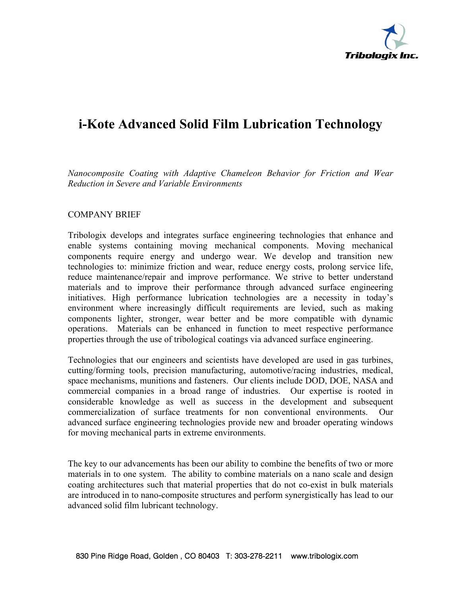

# **i-Kote Advanced Solid Film Lubrication Technology**

*Nanocomposite Coating with Adaptive Chameleon Behavior for Friction and Wear Reduction in Severe and Variable Environments*

# COMPANY BRIEF

Tribologix develops and integrates surface engineering technologies that enhance and enable systems containing moving mechanical components. Moving mechanical components require energy and undergo wear. We develop and transition new technologies to: minimize friction and wear, reduce energy costs, prolong service life, reduce maintenance/repair and improve performance. We strive to better understand materials and to improve their performance through advanced surface engineering initiatives. High performance lubrication technologies are a necessity in today's environment where increasingly difficult requirements are levied, such as making components lighter, stronger, wear better and be more compatible with dynamic operations. Materials can be enhanced in function to meet respective performance properties through the use of tribological coatings via advanced surface engineering.

Technologies that our engineers and scientists have developed are used in gas turbines, cutting/forming tools, precision manufacturing, automotive/racing industries, medical, space mechanisms, munitions and fasteners. Our clients include DOD, DOE, NASA and commercial companies in a broad range of industries. Our expertise is rooted in considerable knowledge as well as success in the development and subsequent commercialization of surface treatments for non conventional environments. Our advanced surface engineering technologies provide new and broader operating windows for moving mechanical parts in extreme environments.

The key to our advancements has been our ability to combine the benefits of two or more materials in to one system. The ability to combine materials on a nano scale and design coating architectures such that material properties that do not co-exist in bulk materials are introduced in to nano-composite structures and perform synergistically has lead to our advanced solid film lubricant technology.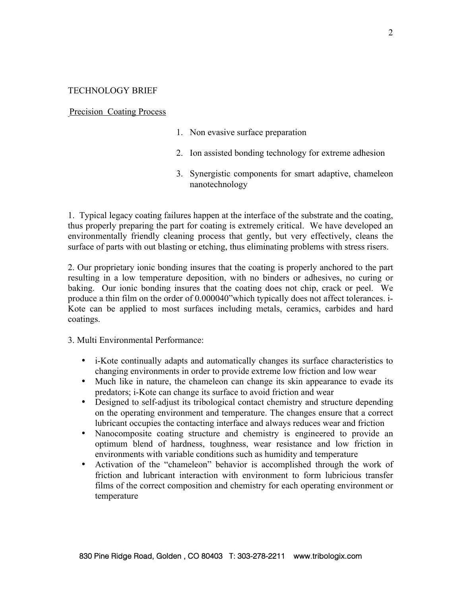# TECHNOLOGY BRIEF

### Precision Coating Process

- 1. Non evasive surface preparation
- 2. Ion assisted bonding technology for extreme adhesion
- 3. Synergistic components for smart adaptive, chameleon nanotechnology

1. Typical legacy coating failures happen at the interface of the substrate and the coating, thus properly preparing the part for coating is extremely critical. We have developed an environmentally friendly cleaning process that gently, but very effectively, cleans the surface of parts with out blasting or etching, thus eliminating problems with stress risers.

2. Our proprietary ionic bonding insures that the coating is properly anchored to the part resulting in a low temperature deposition, with no binders or adhesives, no curing or baking. Our ionic bonding insures that the coating does not chip, crack or peel. We produce a thin film on the order of 0.000040"which typically does not affect tolerances. i-Kote can be applied to most surfaces including metals, ceramics, carbides and hard coatings.

3. Multi Environmental Performance:

- i-Kote continually adapts and automatically changes its surface characteristics to changing environments in order to provide extreme low friction and low wear
- Much like in nature, the chameleon can change its skin appearance to evade its predators; i-Kote can change its surface to avoid friction and wear
- Designed to self-adjust its tribological contact chemistry and structure depending on the operating environment and temperature. The changes ensure that a correct lubricant occupies the contacting interface and always reduces wear and friction
- Nanocomposite coating structure and chemistry is engineered to provide an optimum blend of hardness, toughness, wear resistance and low friction in environments with variable conditions such as humidity and temperature
- Activation of the "chameleon" behavior is accomplished through the work of friction and lubricant interaction with environment to form lubricious transfer films of the correct composition and chemistry for each operating environment or temperature